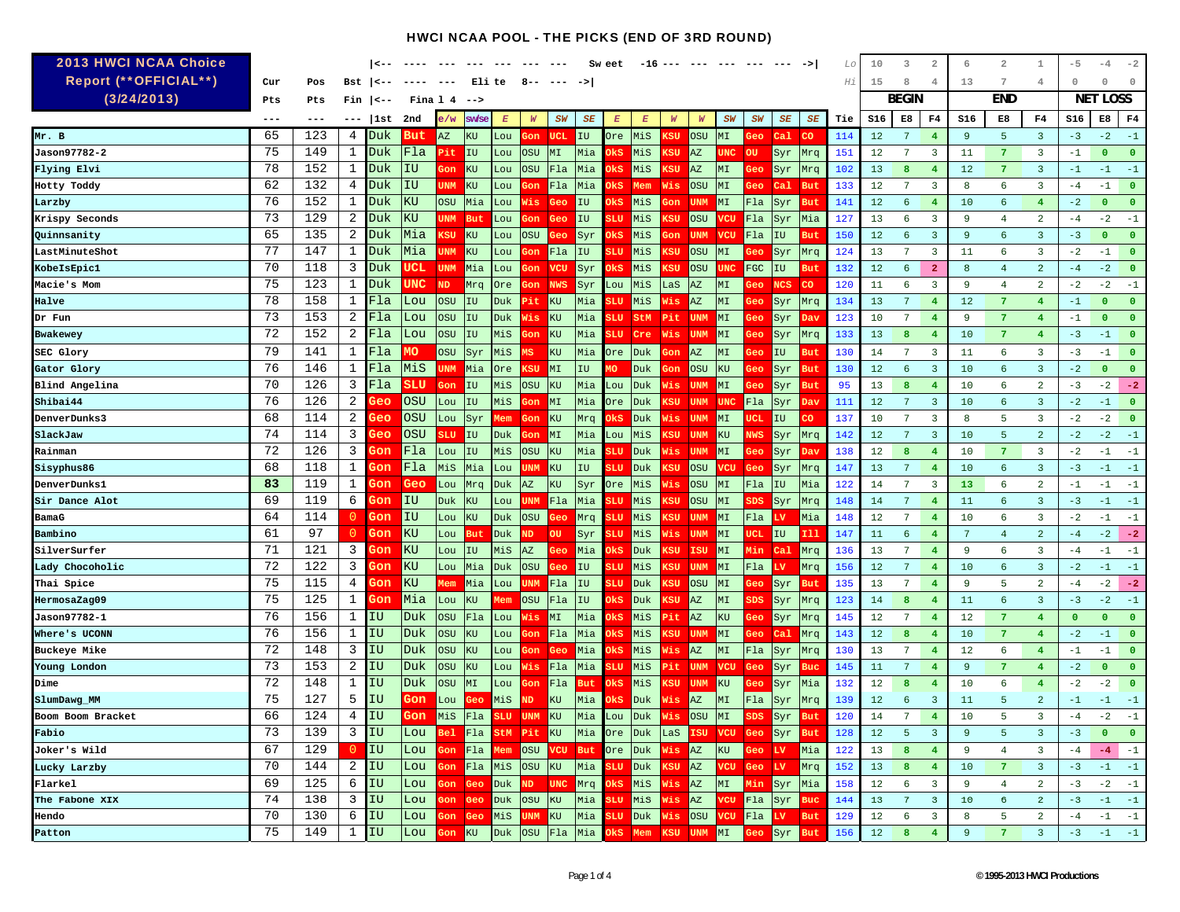| <b>2013 HWCI NCAA Choice</b>      |          |            |                | <--        |                   |            | $---$                   |                  |            |                |                                                            | Sw eet           | -16              |          | $---$                  | $---$                      | ----       | $---$      | ->         | Lo         | 10              | 3               | 2                       | 6               | $\overline{2}$      | 1                            | $-5$         | $-4$            | $-2$           |
|-----------------------------------|----------|------------|----------------|------------|-------------------|------------|-------------------------|------------------|------------|----------------|------------------------------------------------------------|------------------|------------------|----------|------------------------|----------------------------|------------|------------|------------|------------|-----------------|-----------------|-------------------------|-----------------|---------------------|------------------------------|--------------|-----------------|----------------|
| Report (**OFFICIAL**)             | Cur      | Pos        | Bst            | --> ا      | ----              | $---$      | Eli te                  |                  | 8--        |                |                                                            |                  |                  |          |                        |                            |            |            |            | Ηi         | 15              | 8               | 4                       | 13              | 7                   | 4                            | $\circ$      | $\Omega$        | $\Omega$       |
| (3/24/2013)                       | Pts      | Pts        | Fin            | --> ا      | Fina 1 4          |            | $-$ ->                  |                  |            |                |                                                            |                  |                  |          |                        |                            |            |            |            |            |                 | <b>BEGIN</b>    |                         |                 | <b>END</b>          |                              |              | <b>NET LOSS</b> |                |
|                                   | ---      | ---        |                | 1st        | 2nd               | e/w        | <b>SW/SE</b>            | $\boldsymbol{E}$ | W          | SW             | SE                                                         | $\boldsymbol{E}$ | $\boldsymbol{E}$ | W        | W                      | SW                         | SW         | SE         | SE         | Tie        | S16             | E8              | F <sub>4</sub>          | S16             | E8                  | F4                           | S16          | E8              | F4             |
| Mr. B                             | 65       | 123        | 4              | Duk        | But               | AZ         | KU                      | Lou              | 3on        | <b>UCL</b>     | IU                                                         | Ore.             | MiS              | ເຮບ      | OSU                    | MI                         | Geo        | Cal.       | <b>CO</b>  | 114        | 12              | 7               | $\overline{4}$          | -9              | 5                   | $\overline{\mathbf{3}}$      | $-3$         | $-2$            | $-1$           |
| <b>Jason97782-2</b>               | 75       | 149        | 1              | Duk        | Fla               | Pit        | IU                      | Lou              | <b>OSU</b> | M <sub>L</sub> | Mia                                                        | )kS              | MiS              | ເຮບ      | AZ                     | <b>UNC</b>                 | <b>OU</b>  | Syr        | Mrq        | 151        | 12              | $7\phantom{.0}$ | 3                       | 11              | $\overline{7}$      | $\overline{3}$               | $-1$         | $\Omega$        | $\mathbf{0}$   |
| Flying Elvi                       | 78       | 152        | 1              | Duk        | IU                | 3on        | KU                      | Lou              | <b>OSU</b> | Fla            | Mia                                                        | )kS              | MiS              | :SU      | AZ                     | MI                         | 3eo        | Syr        | Mrq        | 102        | 13              | 8               | $\overline{4}$          | 12              | $\overline{7}$      | $\overline{\mathbf{3}}$      | $-1$         | $-1$            | $-1$           |
| Hotty Toddy                       | 62       | 132        | 4              | Duk        | IU                | UNM        | KU                      | Lou              | 3on        | Fla            | Mia                                                        | )kS              | Mem              | Wis      | OSU                    | MT                         | Geo        | $ca1$      | <b>But</b> | 133        | 12              | $7\phantom{.0}$ | $\overline{\mathbf{3}}$ | 8               | 6                   | $\overline{3}$               | $-4$         | $-1$            | $\mathbf{0}$   |
| Larzby                            | 76       | 152        | 1              | Duk        | KU                | OSU        | Mia                     | Lou              | Vis        | Geo            | IU                                                         | )k S             | MiS              | on       | <b>UNM</b>             | MI                         | Fla        | Syr        | But        | 141        | 12              | 6               | $\overline{4}$          | 10              | 6                   | 4                            | $-2$         | $\bullet$       | $\mathbf{0}$   |
| Krispy Seconds                    | 73       | 129        | 2              | Duk        | KU                | <b>UNM</b> | <b>But</b>              | Lou              | ¦on        | Geo            | IU                                                         | 'LU              | MiS              | su       | OSU                    | vcu                        | Fla        | Syr        | Mia        | 127        | 13              | -6              | 3                       | 9               | $\overline{4}$      | $\overline{a}$               | $-4$         | $-2$            | $-1$           |
| Quinnsanity                       | 65       | 135        | 2              | Duk        | Mia               | ເຮບ        | KU                      | Lou              | <b>OSU</b> | Geo            | Syr                                                        | )kS              | MiS              | on       | <b>UNM</b>             | <b>VCU</b>                 | Fla        | IU         | <b>But</b> | 150        | 12              | 6               | 3                       | 9               | 6                   | $\overline{3}$               | $-3$         | $\mathbf{0}$    | $\overline{0}$ |
| LastMinuteShot                    | 77       | 147        | 1              | Duk        | Mia               | <b>JNM</b> | KU                      | Lou              | 3on        | Fla            | IU                                                         | 'LU              | MiS              | :SU      | <b>OSU</b>             | MI                         | eo:        | Syr        | Mrq        | 124        | 13              | $7\phantom{.0}$ | $\overline{3}$          | 11              | 6                   | $\overline{\mathbf{3}}$      | $-2$         | $-1$            | $\overline{0}$ |
| KobeIsEpic1                       | 70       | 118        | 3              | Duk        | UCL               | <b>UNM</b> | Mia                     | Lou              | Gon        | <b>VCU</b>     | Syr                                                        | )kS              | Mis              | ເຮບ      | OSU                    | <b>UNC</b>                 | FGC        | IU         | <b>But</b> | 132        | 12              | 6               | $\overline{2}$          | 8               | $\overline{4}$      | $\overline{a}$               | $-4$         | $-2$            | $\overline{0}$ |
| Macie's Mom                       | 75       | 123        | 1              | Duk        | UNC               | <b>ND</b>  | Mrq                     | Ore              | on,        | <b>NWS</b>     | Syr                                                        | Lou              | MiS              | LaS      | AZ                     | MI                         | 3eo        | <b>NCS</b> | <b>CO</b>  | 120        | 11              | 6               | $\overline{3}$          | 9               | $\overline{4}$      | $\overline{a}$               | $-2$         | $-2$            | $-1$           |
| Halve                             | 78       | 158        | 1              | Fla        | Lou               | <b>OSU</b> | <b>IU</b>               | Duk              | Pit        | $\rm KU$       | Mia                                                        | <b>LU</b>        | Mis              | lis.     | AZ                     | MI                         | Зeс        | <b>Syr</b> | Mrq        | 134        | 13              | $7\phantom{.0}$ | $\overline{4}$          | 12              | $\overline{7}$      | $4^{\circ}$                  | $-1$         | $\mathbf 0$     | $\overline{0}$ |
| Dr Fun                            | 73       | 153        | 2              | Fla        | Lou               | OSU        | IU                      | Duk              | lis        | $\rm KU$       | Mia                                                        | 3LU.             | StM              | Pit      | UNM                    | MI                         | łес        | Syr        | Dav        | 123        | 10              | 7               | $\overline{4}$          | -9              | 7                   | 4                            | $-1$         | $\mathbf{0}$    | $\overline{0}$ |
| Bwakewey                          | 72       | 152        | 2              | Fla        | Lou               | OSU        | IU                      | MiS              | ¦on        | KU             | Mia                                                        | LU               | Cre              |          | <b>UNM</b>             | MI                         |            | Syr        | Mrq        | 133        | 13              | 8               | 4                       | 10              | 7                   | 4                            | $-3$         | $-1$            | $\overline{0}$ |
| SEC Glory                         | 79       | 141        | 1              | Fla        | МO                | OSU        | Syr                     | MiS              | MS         | $\rm KU$       | Mia                                                        | Ore              | Duk              | on       | AZ                     | MI                         | łес        | IU         | <b>But</b> | 130        | 14              | $7\phantom{.0}$ | 3                       | 11              | 6                   | 3                            | $-3$         | $-1$            | $\mathbf{0}$   |
| Gator Glory                       | 76       | 146        | 1              | Fla        | MiS               | <b>JNM</b> | Mia                     | Ore              | KSU        | M <sub>L</sub> | IU                                                         | ſО               | Duk              | on       | OSU                    | KU                         | 3eo        | Syr        | But        | 130        | $12 \,$         | 6               | $\overline{\mathbf{3}}$ | 10              | 6                   | $\overline{\mathbf{3}}$      | $-2$         | $\mathbf{0}$    | $\overline{0}$ |
| Blind Angelina                    | 70       | 126        | 3              | Fla        | SLU               | Gon        | IU                      | MiS              | <b>OSU</b> | $\rm KU$       | Mia                                                        | Lou              | Duk              | lis.     | <b>UNM</b>             | MI                         | 3eo        | Syr        | But        | 95         | 13              | 8               | $\overline{4}$          | 10              | 6                   | $\overline{a}$               | $-3$         | $-2$            | $-2$           |
| Shibai44                          | 76       | 126        | 2              | 3eo        | <b>OSU</b>        | Lou        | IU                      | MiS              | 3on        | MI             | Mia                                                        | Ore              | Duk              | :SU      | UNM                    | <b>UNC</b>                 | Fla        | Syr        | Dav        | 111        | 12              | $7\phantom{.0}$ | $\overline{3}$          | 10              | 6                   | $\overline{\mathbf{3}}$      | $-2$         | $-1$            | $\overline{0}$ |
| <b>DenverDunks3</b>               | 68       | 114        | 2              | 3eo        | OSU               | Lou        | Syr                     | Mem              | Gon        | KU             | Mrq                                                        | жs               | Duk              | lis.     | UNM                    | MI                         | ICL        | IU         | CO         | 137        | 10              | 7               | 3                       | 8               | 5                   | $\overline{3}$               | $-2$         | $-2$            | $\mathbf{0}$   |
| SlackJaw                          | 74<br>72 | 114<br>126 | 3<br>3         | Geo        | <b>OSU</b><br>Fla | 3LU        | $\overline{\mathbf{I}}$ | <b>Duk</b>       | ¦on        | M <sub>L</sub> | Mia                                                        | Lou              | MiS              | .SU      | <b>UNM</b>             | KU                         | NWS        | Syr        | Mrq        | 142        | 12              | $7\phantom{.0}$ | $\overline{3}$          | 10              | 5<br>$\overline{7}$ | $\overline{a}$               | $-2$<br>$-2$ | $-2$            | $-1$<br>$-1$   |
| Rainman                           | 68       | 118        | 1              | }on<br>∃on | Fla               | Lou<br>MiS | IU<br>Mia               | MiS              | <b>OSU</b> | KU<br>$\rm KU$ | Mia<br>IU                                                  | 'LU<br>3LU       | Duk              | is<br>SU | <b>UNM</b><br>OSU      | ML                         | eo:<br>Geo | Syr        | Dav        | 138<br>147 | 12<br>13        | 8<br>7          | $\overline{4}$          | 10<br>10        | 6                   | 3<br>$\overline{\mathbf{3}}$ | $-3$         | $-1$<br>$-1$    | $-1$           |
| Sisyphus86<br><b>DenverDunks1</b> | 83       | 119        | 1              | Зon        | Geo               | Lou        | Mrq                     | Lou<br>Duk       | JNM<br>AZ  | $\rm KU$       | Syr                                                        | Ore              | Duk<br>MiS       | lis      | <b>OSU</b>             | 7CU<br>MI                  | Fla        | Syr<br>IU  | Mrq<br>Mia | 122        | 14              | 7               | $\overline{4}$<br>3     | 13              | 6                   | $\overline{a}$               | $-1$         | $-1$            | $-1$           |
| Sir Dance Alot                    | 69       | 119        | 6              | 3on        | IU                | Duk        | KU                      | Lou              | <b>NMU</b> | Fla            | Mia                                                        | <b>SLU</b>       | MiS              | ເຮບ      | OSU                    | MI                         | SDS        | Syr        | Mrq        | 148        | 14              | 7               | $\overline{4}$          | 11              | 6                   | $\overline{\mathbf{3}}$      | $-3$         | $-1$            | $-1$           |
| BamaG                             | 64       | 114        | $\overline{0}$ | Gon        | IU                | Lou        | $\rm KU$                | Duk              | <b>OSU</b> | Geo            | Mrq                                                        | ïЦ               | MiS              | :SU      | UNM                    | MI                         | Fla        | <b>LV</b>  | Mia        | 148        | 12              | $7\phantom{.0}$ | $\overline{4}$          | 10              | 6                   | $\overline{3}$               | $-2$         | $-1$            | $-1$           |
| Bambino                           | 61       | 97         | 0              | Gon        | KU                | Lou        | But                     | Duk              | ND         | <b>OU</b>      | Syr                                                        | 3 L.U            | MiS              | lis.     | UNM                    | MT                         | JCΙ        | IU         | <b>I11</b> | 147        | 11              | 6               | $\overline{4}$          | $7\phantom{.0}$ | $\overline{4}$      | $\overline{a}$               | $-4$         | $-2$            | $-2$           |
| SilverSurfer                      | 71       | 121        | 3              | 3on        | KU                | Lou        | IIU                     | MiS              | AZ         | Geo            | Mia                                                        | )kS              | Duk              | :SU      | <b>ISU</b>             | MI                         | iin.       | Cal        | Mrq        | 136        | 13              | $7\phantom{.0}$ | $\overline{4}$          | 9               | 6                   | 3                            | $-4$         | $-1$            | $-1$           |
| Lady Chocoholic                   | 72       | 122        | 3              | }on        | KU                | Lou        | Mia                     | Duk              | <b>OSU</b> | ¥ео            | IU                                                         | <b>LU</b>        | MiS              | SU       | <b>UNM</b>             | MI                         | Fla        | LV         | Mrq        | 156        | 12              | $7\phantom{.0}$ | $\overline{4}$          | 10              | 6                   | $\overline{3}$               | $-2$         | $-1$            | $-1$           |
| Thai Spice                        | 75       | 115        | 4              | 3on        | KU                | Mem        | Mia                     | Lou              | JNM        | Fla            | IU                                                         | :LU              | <b>Duk</b>       | :SU      | OSU                    | MI                         | Зeс        | Syr        | <b>But</b> | 135        | 13              | 7               | $\overline{4}$          | 9               | 5                   | $\overline{a}$               | $-4$         | $-2$            | $-2$           |
| <b>HermosaZag09</b>               | 75       | 125        | 1              | Gon        | Mia               | Lou        | KU                      | Mem              | <b>OSU</b> | Fla            | IU                                                         | )kS              | Duk              | :SU      | $\mathbb{A}\mathbb{Z}$ | MI                         | SDS        | Syr        | Mrq        | 123        | 14              | 8               | $\overline{4}$          | 11              | 6                   | $\overline{3}$               | $-3$         | $-2$            | $-1$           |
| <b>Jason97782-1</b>               | 76       | 156        | 1              | IU         | Duk               | OSU        | F1a                     | Lou              | Wis        | MI             | Mia                                                        | )kS              | MiS              | Pit      | AZ                     | KU                         | Geo        | Syr        | Mrq        | 145        | 12              | 7               | $\overline{4}$          | 12              | $\overline{7}$      | $\overline{4}$               | $\mathbf 0$  | $\mathbf{0}$    | $\mathbf{0}$   |
| Where's UCONN                     | 76       | 156        | 1              | ΙU         | Duk               | OSU        | KU                      | Lou              | ¦on        | Fla            | Mia                                                        | )kS              | MiS              | :SU      | <b>UNM</b>             | MI                         | eo:        | $ca1$      | Mrq        | 143        | 12              | 8               | 4                       | 10              | $\overline{7}$      | $\overline{4}$               | $-2$         | $-1$            | $\overline{0}$ |
| Buckeye Mike                      | 72       | 148        | 3              | ΙU         | Duk               | OSU        | KU                      | Lou              | <b>Fou</b> | Geo            | Mia                                                        | )kS              | MiS              | lis.     | AZ                     | MI                         | Fla        | Syr        | Mrq        | 130        | 13              | 7               | $\overline{4}$          | 12              | 6                   | $\overline{4}$               | $-1$         | $-1$            | $\mathbf{0}$   |
| Young London                      | 73       | 153        | 2              | ΙU         | Duk               | OSU        | KU                      | Lou              | Vis        | Fla            | Mia                                                        | LU               | MiS              | ùt.      | <b>UNM</b>             | <b>VCU</b>                 | Geo        | Syr        | Buc        | 145        | 11              | $7\phantom{.0}$ | $\overline{4}$          | $\overline{9}$  | $\overline{7}$      | 4                            | $-2$         | $\mathbf{0}$    | $\mathbf{0}$   |
| Dime                              | 72       | 148        | 1              | ΙU         | Duk               | OSU        | MI                      | Lou              | юr         | Fla            | 3ut                                                        | )kS              | MiS              | SU       | <b>UNM</b>             | $\rm KU$                   | łео        | Syr        | Mia        | 132        | 12              | 8               | $\overline{4}$          | 10              | 6                   | $\overline{4}$               | $-2$         | $-2$            | $\mathbf{0}$   |
| SlumDawg MM                       | 75       | 127        | 5              | ΙU         | Gon               | Lou        |                         | MiS              | ND         | ΚU             | Mia                                                        | )kS              | Duk              | is       | AZ                     | $\mathbb{M} \mathbb{I}$    | Fla        | Syr        | Mrq        | 139        | 12              | 6               | 3                       | 11              | 5                   | $\overline{2}$               | $-1$         | $-1$            | $-1$           |
| Boom Boom Bracket                 | 66       | 124        | 4              | IU         | Gon               | MiS        | Fla                     | <b>SLU</b>       | <b>UNM</b> | KU             | Mia                                                        | Lou              | Duk              | Vis      | <b>OSU</b>             | MI                         | SDS        | Syr        | <b>But</b> | 120        | 14              | $7\phantom{.0}$ | $\overline{4}$          | 10              | 5                   | $\overline{3}$               | $-4$         | $-2$            | $-1$           |
| Fabio                             | 73       | 139        | 3              | IU         |                   |            |                         |                  |            |                | Lou Bel Fla StM Pit KU Mia Ore Duk LaS ISU VCU Geo Syr But |                  |                  |          |                        |                            |            |            |            | 128        | 12 <sub>2</sub> | $-5$            | $\overline{\mathbf{3}}$ | -9              | 5                   | -3                           |              | $-3$ 0 0        |                |
| Joker's Wild                      | 67       | 129        | $\overline{0}$ | IU         | Lou               |            | Gon Fla Mem             |                  |            |                | OSU VCU But Ore Duk Wis AZ KU Geo LV Mia                   |                  |                  |          |                        |                            |            |            |            | 122        | 13              | $8 \t 4$        |                         | 9               | $\overline{4}$      | $\overline{\mathbf{3}}$      | $-4$         | $-4 - 1$        |                |
| Lucky Larzby                      | 70       | 144        | 2              | IU         |                   |            |                         |                  |            |                | Lou Gon Fla Mis OSU KU Mia SLU Duk KSU AZ VCU Geo LV       |                  |                  |          |                        |                            |            |            | Mrq        | 152        |                 | 13 8 4          |                         | 10              | $\overline{7}$      | $\overline{\mathbf{3}}$      |              | $-3 -1 -1$      |                |
| Flarkel                           | 69       | 125        | 6              | IU         | Lou Gon Geo       |            |                         |                  |            |                | Duk ND UNC Mrg OkS                                         |                  | MiS Wis AZ       |          |                        | MI Min Syr Mia             |            |            |            | 158        | 12              | 6               | $\overline{\mathbf{3}}$ | 9               | $\overline{4}$      | $\overline{2}$               | $-3$         | $-2 - 1$        |                |
| The Fabone XIX                    | 74       | 138        | 3              | IU         | Lou               |            | Gon Geo                 |                  | Duk OSU KU |                | Mia SLU                                                    |                  |                  |          |                        | MiS Wis AZ VCU Fla Syr Buc |            |            |            | 144        |                 | $13 \t 7 \t 3$  |                         | 10              | 6                   | $\overline{2}$               | $-3$         | $-1 -1$         |                |
| Hendo                             | 70       | 130        | 6              | IU         | Lou               |            | Gon Geo                 |                  | MiS UNM KU |                | Mia                                                        | <b>SLU</b>       |                  |          |                        | Duk Wis OSU VCU Fla LV But |            |            |            | 129        | 12              | 6               | $\overline{\mathbf{3}}$ | 8               | 5                   | $\overline{a}$               | $-4$         | $-1 -1$         |                |
| Patton                            | 75       | 149        | 1              | IU         | Lou               |            | Gon KU                  |                  |            |                | Duk OSU Fla Mia OkS Mem KSU UNM MI Geo                     |                  |                  |          |                        |                            |            | Syr But    |            | 156        |                 | $12 \t 8 \t 4$  |                         | 9               | $\overline{7}$      | $\overline{\mathbf{3}}$      |              | $-3 -1 -1$      |                |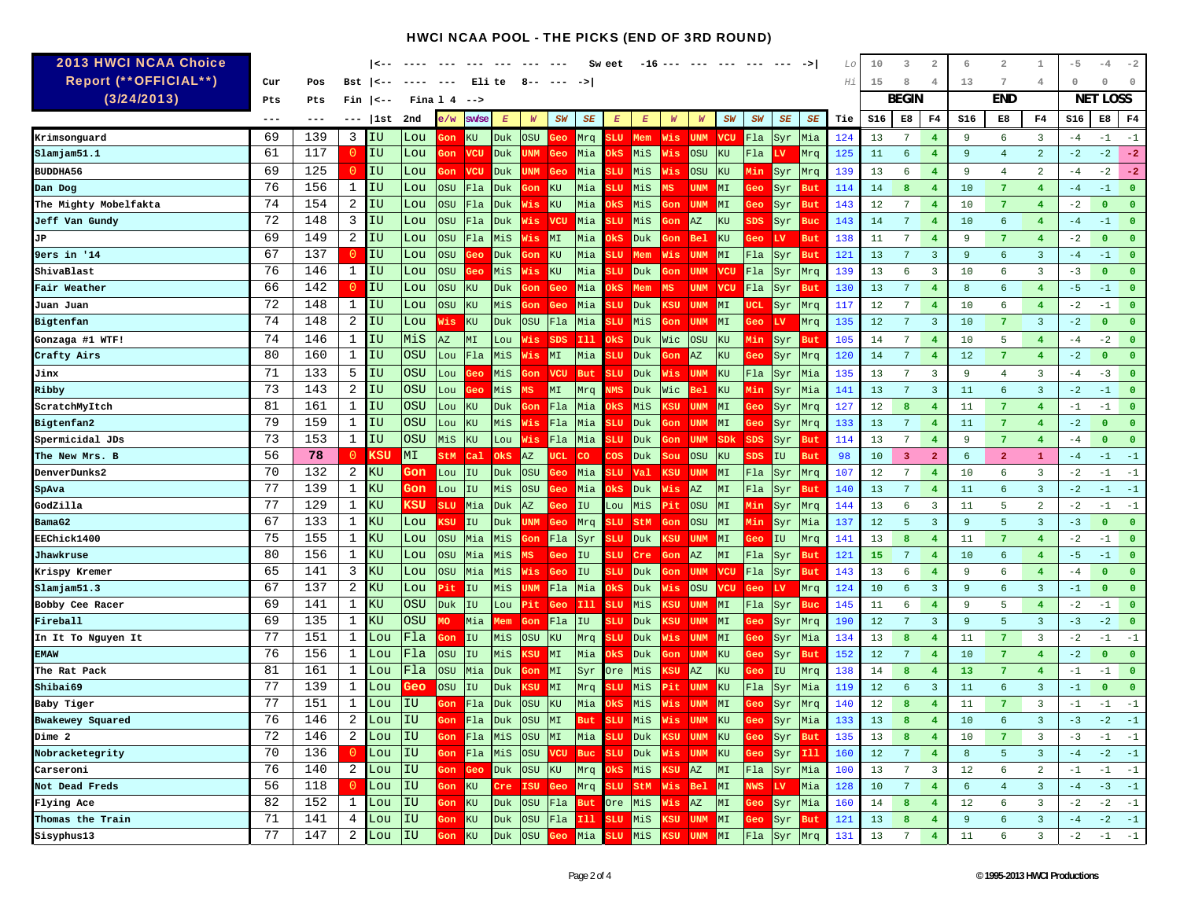| <b>2013 HWCI NCAA Choice</b> |          |            |                |               |            |                        |                |            |                    |                |                                    | Sw eet           |               |                  |                        |            |                   |             |            | Lo         | 10              | $\overline{\mathbf{3}}$ | 2                       | 6           | $\overline{2}$  | 1                                | $-5$         | $-4$                 | $-2$           |
|------------------------------|----------|------------|----------------|---------------|------------|------------------------|----------------|------------|--------------------|----------------|------------------------------------|------------------|---------------|------------------|------------------------|------------|-------------------|-------------|------------|------------|-----------------|-------------------------|-------------------------|-------------|-----------------|----------------------------------|--------------|----------------------|----------------|
| Report (**OFFICIAL**)        | Cur      | Pos        | Bst            | $1 < -$       |            |                        | Eli te         |            | 8--                |                | ->                                 |                  |               |                  |                        |            |                   |             |            | Hi         | 15              | 8                       | 4                       | 13          | 7               | 4                                | $\Omega$     | $\Omega$             | $\Omega$       |
| (3/24/2013)                  | Pts      | Pts        | Fin            | $\vert$ < - - | Fina 14    |                        | $- -$          |            |                    |                |                                    |                  |               |                  |                        |            |                   |             |            |            |                 | <b>BEGIN</b>            |                         |             | <b>END</b>      |                                  | <b>NET</b>   | LOSS                 |                |
|                              | $--$     | ---        | $---$          | 1st           | 2nd        | e/w                    | <b>SW/SE</b>   | E          | $\boldsymbol{W}$   | SW             | SE                                 | $\boldsymbol{E}$ | E             | $\boldsymbol{W}$ | W                      | SW         | SW                | SE          | SE         | Tie        | S16             | E8                      | F4                      | S16         | E8              | F4                               | S16          | E8                   | F4             |
| Krimsonguard                 | 69       | 139        | 3              | ΙU            | Lou        |                        | KU             | Duk        | <b>OSU</b>         | Geo            | Mrq                                |                  | LU Mem        | Wis              | <b>UNM</b>             | <b>VCU</b> | Fla               | Syr         | Mia        | 124        | 13              | 7                       | $\overline{4}$          | 9           | 6               | 3                                | $-4$         | $-1$                 | $-1$           |
| Slamjam51.1                  | 61       | 117        | $\overline{0}$ | IU            | Lou        | 3on                    | <b>VCU</b>     | Duk        | <b>JNM</b>         | <b>Geo</b>     | Mia                                | )kS              | MiS           | lis              | OSU                    | KU         | Fla               | LV          | Mrq        | 125        | 11              | 6                       | $\overline{4}$          | 9           | $\overline{4}$  | 2                                | $-2$         | $-2$                 | $-2$           |
| <b>BUDDHA56</b>              | 69       | 125        | 0              | IU            | Lou        | 3on                    | <b>VCU</b>     | Duk        | <b>JNM</b>         | Geo            | Mia                                | <b>SLU</b>       | MiS           | lis              | <b>OSU</b>             | KU         | Min               | Syr         | Mrq        | 139        | 13              | 6                       | $\overline{4}$          | -9          | $\overline{4}$  | $\overline{a}$                   | $-4$         | $-2$                 | $-2$           |
| Dan Dog                      | 76       | 156        | 1              | IU            | Lou        | <b>OSU</b>             | F1a            | Duk        | <b>Fou</b>         | KU             | Mia                                | 3LU              | MiS           | ΛS.              | <b>UNM</b>             | MI         | Geo               | Syr         | <b>But</b> | 114        | 14              | 8                       | $\overline{4}$          | 10          | $\overline{7}$  | $\overline{4}$                   | $-4$         | $-1$                 | $\Omega$       |
| The Mighty Mobelfakta        | 74       | 154        | 2              | ΙU            | Lou        | OSU                    | Fla            | Duk        | Vis                | KU             | Mia                                | )kS              | MiS           | on               | UNM                    | MI         | łес               | Syr         | <b>But</b> | 143        | 12              | $7\phantom{.0}$         | $\overline{4}$          | 10          | $\overline{7}$  | $4^{\circ}$                      | $-2$         | $\mathbf{0}$         | $\Omega$       |
| Jeff Van Gundy               | 72       | 148        | 3              | ΙU            | Lou        | <b>OSU</b>             | Fla            | Duk        | Vis                | <b>VCU</b>     | Mia                                | 3LU              | MiS           | ¦on              | AZ                     | KU         | $_{\rm SDS}$      | Syr         | <b>Buc</b> | 143        | 14              | $7\phantom{.0}$         | $\overline{4}$          | 10          | 6               | $\overline{4}$                   | $-4$         | $-1$                 | $\overline{0}$ |
| JP                           | 69       | 149        | 2              | ΙU            | Lou        | <b>OSU</b>             | Fla            | MiS        | Vis                | MI             | Mia                                | )kS              | Duk           | ¦on              | Bel                    | KU         | Geo               | LV          | <b>But</b> | 138        | 11              | $7\phantom{.0}$         | $\overline{4}$          | 9           | $\overline{7}$  | $4^{\circ}$                      | $-2$         | $\Omega$             | $\overline{0}$ |
| 9ers in '14                  | 67       | 137        | $\overline{0}$ | IU            | Lou        | <b>OSU</b>             |                | Duk        | ¦on                | KU             | Mia                                | 3LU              | Mem           | Wis              | <b>UNM</b>             | MI         | Fla               | Syr         | <b>But</b> | 121        | 13              | $7\phantom{.0}$         | 3                       | 9           | 6               | $\overline{3}$                   | $-4$         | $-1$                 | $\overline{0}$ |
| ShivaBlast                   | 76       | 146        | 1              | ΙU            | Lou        | OSU                    |                | MiS        | lis,               | KU             | Mia                                | LU               | Duk           | on               | <b>UNM</b>             | <b>VCU</b> | Fla               | Syr         | Mrq        | 139        | 13              | -6                      | 3                       | 10          | 6               | 3                                | $-3$         | $\mathbf{0}$         | $\Omega$       |
| Fair Weather                 | 66       | 142        | $\circ$        | IU            | Lou        | OSU                    | KU             | Duk        | 3on                | Geo            | Mia                                | )kS              | Mem           | MS               | <b>UNM</b>             | <b>VCU</b> | Fla               | Syr         | <b>But</b> | 130        | 13              | $7\phantom{.0}$         | $\overline{4}$          | 8           | 6               | $\overline{4}$                   | $-5$         | $-1$                 | $\overline{0}$ |
| Juan Juan                    | 72       | 148        | 1              | ΙU            | Lou        | <b>OSU</b>             | KU             | MiS        | <b>Fon</b>         | Geo            | Mia                                | <b>LU</b>        | <b>Duk</b>    | <b>SU</b>        | <b>UNM</b>             | MI         | JCΙ               | Syr         | Mrq        | 117        | 12              | 7                       | $\overline{4}$          | 10          | 6               | $\overline{4}$                   | $-2$         | $-1$                 | $\mathbf{0}$   |
| Bigtenfan                    | 74       | 148        | 2              | IU            | Lou        | Wis                    | KU             | Duk        | <b>OSU</b>         | F1a            | Mia                                | <b>SLU</b>       | MiS           | 3on              | <b>UNM</b>             | MI         | 3eo               | LV          | Mrq        | 135        | 12              | $7\phantom{.0}$         | $\overline{3}$          | 10          | $\overline{7}$  | $\overline{3}$                   | $-2$         | $\mathbf{0}$         | $\mathbf{0}$   |
| Gonzaga #1 WTF!              | 74       | 146        | 1              | ΙU            | MiS        | $\mathbb{A}\mathbb{Z}$ | MI             | Lou        | Wis                | <b>SDS</b>     | $111$                              | 0ks.             | Duk           | Wic              | <b>OSU</b>             | KU         | Min               | Syr         | <b>But</b> | 105        | 14              | 7                       | $\overline{4}$          | 10          | 5               | $\overline{4}$                   | $-4$         | $-2$                 | $\overline{0}$ |
| Crafty Airs                  | 80       | 160        | 1              | ΙU            | <b>OSU</b> | Lou                    | Fla            | MiS        | Vis                | MI             | Mia                                | 3LU              | Duk           | ¦on              | AZ                     | KU         | Geo               | Syr         | Mrq        | 120        | 14              | $7\phantom{.0}$         | $\overline{4}$          | 12          | $\overline{7}$  | $\overline{4}$                   | $-2$         | $\mathbf{0}$         | $\mathbf{0}$   |
| Jinx                         | 71       | 133        | 5              | IU            | OSU        | Lou                    |                | MiS        | ¦on                | <b>VCU</b>     | <b>But</b>                         | SLU              | Duk           |                  | Vis UNM                | KU         | Fla               | Syr         | Mia        | 135        | 13              | 7                       | $\overline{3}$          | 9           | 4               | 3                                | $-4$         | $-3$                 | $\mathbf{o}$   |
| Ribby                        | 73       | 143        | 2              | IU            | <b>OSU</b> | Lou                    |                | MiS        |                    | MT             | Mrq                                | ₩S               | Duk           | Wic              | Bel                    | $\rm KU$   | Min               | Syr         | Mia        | 141        | 13              | $7\phantom{.0}$         | 3                       | 11          | 6               | $\overline{3}$                   | $-2$         | $-1$                 | $\mathbf{0}$   |
| ScratchMyItch                | 81       | 161        | 1              | IU            | <b>OSU</b> | Lou                    | KU             | Duk        | юn                 | F1a            | Mia                                | )k S             | MiS           |                  | (SU UNM                | MI         | Зeс               | Syr         | Mrq        | 127        | 12              | 8                       | $\overline{4}$          | 11          | 7               | $4^{\circ}$                      | $-1$         | $-1$                 | $\mathbf{0}$   |
| Bigtenfan2                   | 79       | 159        | 1              | ΙU            | OSU        | Lou                    | KU             | MiS        | Vis                | Fla            | Mia                                | ЩU               | Duk           | on               | UNM                    | MI         | leo:              | Syr         | Mrq        | 133        | 13              | $7\phantom{.0}$         | $\overline{4}$          | 11          | $\overline{7}$  | 4                                | $-2$         | $\mathbf{0}$         | $\mathbf{0}$   |
| Spermicidal JDs              | 73       | 153        | $\mathbf 1$    | ΙU            | <b>OSU</b> | MiS                    | KU             | Lou        | Wis                | Fla            | Mia                                | <b>SLU</b>       | Duk           | ¦on              | <b>UNM</b>             | SDk        | <b>SDS</b>        | Syr         | <b>But</b> | 114        | 13              | $7\phantom{.0}$         | $\overline{4}$          | 9           | 7               | $4^{\circ}$                      | $-4$         | $\Omega$             | $\mathbf{0}$   |
| The New Mrs. B               | 56<br>70 | 78         | $\circ$        | KSU           | MΙ         | StM Cal                |                | Oks        | AZ                 | UCL            | <b>CO</b>                          | <b>COS</b>       | Duk           | ¦ou              | <b>OSU</b>             | KU         | SDS               | IU          | <b>But</b> | 98         | 10              | 3                       | $\overline{2}$          | 6           | $\overline{a}$  | $\mathbf{1}$                     | $-4$         | $-1$                 | $-1$           |
| <b>DenverDunks2</b>          | 77       | 132<br>139 | 2              | ΚU            | Gon        | Lou                    | I              | Duk        | <b>OSU</b>         | Geo            | Mia                                | <b>LU</b>        | <b>Val</b>    | KSU              | UNM                    | MI         | Fla               | Syr         | Mrq        | 107        | 12              | $7\phantom{.0}$         | $\overline{4}$          | 10          | 6               | $\overline{3}$                   | $-2$         | $-1$                 | $-1$           |
| SpAva                        | 77       | 129        | 1<br>1         | ΚU<br>ζU      | Gon<br>KSU | Lou                    | IU             | MiS        | OSU                | Geo            | Mia                                | )kS              | Duk           | lis              | $\mathbb{A}\mathbb{Z}$ | MI         | Fla               | Syr         | <b>But</b> | 140        | 13              | 7                       | $\overline{4}$<br>3     | 11          | 6<br>5          | $\overline{3}$<br>$\overline{2}$ | $-2$         | $-1$                 | $-1$<br>$-1$   |
| GodZilla<br>BamaG2           | 67       | 133        | 1              | ζU            | Lou        | <b>SLU</b><br>ເຮບ      | Mia<br>IU      | Duk<br>Duk | AZ<br><b>JNM</b>   | Geo<br>Geo     | IU<br>Mrq                          | Lou<br>3LU       | MiS<br>StM    | Άt<br>Gon        | <b>OSU</b><br>OSU      | MI<br>MT   | Min<br><b>Min</b> | Syr<br>Syr  | Mrq<br>Mia | 144<br>137 | 13<br>12        | 6<br>-5                 | 3                       | 11<br>9     | 5               | $\overline{3}$                   | $-2$<br>$-3$ | $-1$<br>$\mathbf{0}$ | $\mathbf{0}$   |
| <b>EEChick1400</b>           | 75       | 155        | 1              | ΚU            | Lou        | <b>OSU</b>             | Mia            | MiS        | ¦on                | Fla            | Syr                                | <b>SLU</b>       | Duk           | KSU              | <b>UNM</b>             | MI         | 3eo               | IU          | Mrq        | 141        | 13              | 8                       | $\overline{4}$          | 11          | $\overline{7}$  | $\overline{4}$                   | $-2$         | $-1$                 | $\mathbf{0}$   |
| Jhawkruse                    | 80       | 156        | 1              | ΚU            | Lou        | OSU                    | Mia            | MiS        | MS                 | Geo            | IU                                 | 3LU.             | Cre           | Gon              | $\mathtt{AZ}$          | MI         | Fla               | Syr         | But        | 121        | 15              | $7\phantom{.0}$         | $\overline{4}$          | 10          | 6               | $\overline{4}$                   | $-5$         | $-1$                 | $\Omega$       |
| Krispy Kremer                | 65       | 141        | 3              | ΚU            | Lou        | OSU                    | Mia            | MiS        | Vis                | Geo            | IU                                 | <b>SLU</b>       | Duk           | 3on              | <b>UNM</b>             | <b>VCU</b> | Fla               | Syr         | <b>But</b> | 143        | 13              | 6                       | $\overline{4}$          | 9           | 6               | $\overline{4}$                   | $-4$         | $\Omega$             | $\mathbf{0}$   |
| Slamjam51.3                  | 67       | 137        | 2              | ΚU            | Lou        | Pit                    | $\mathbf I$    | MiS        | <b>NMU</b>         | FLa            | Mia                                | )kS              | Duk           | lis.             | OSU                    | vcu        | Geo               | LV.         | Mrq        | 124        | 10              | 6                       | $\overline{\mathbf{3}}$ | 9           | 6               | $\overline{3}$                   | $-1$         | $\mathbf{0}$         | $\overline{0}$ |
| Bobby Cee Racer              | 69       | 141        | 1              | ΚU            | OSU        | Duk                    | <b>IU</b>      | Lou        | Pit                | Geo            | <b>III</b>                         | SLU              | MiS           | ເຮບ              | <b>UNM</b>             | MI         | Fla               | Syr         | <b>Buc</b> | 145        | 11              | 6                       | $\overline{4}$          | -9          | 5               | $4^{\circ}$                      | $-2$         | $-1$                 | $\mathbf{0}$   |
| Fireball                     | 69       | 135        | 1              | ΚU            | <b>OSU</b> | đС                     | Mia            | ſem        | Gon                | Fla            | IU                                 | <b>SLU</b>       | Duk           | ເຮບ              | <b>UNM</b>             | MI         | 3eo               | Syr         | Mrq        | 190        | 12              | 7                       | $\overline{3}$          | -9          | 5               | $\overline{3}$                   | $-3$         | $-2$                 | $\mathbf{0}$   |
| In It To Nguyen It           | 77       | 151        | 1              | 'ou           | Fla        | on                     | IU             | MiS        | <b>OSU</b>         | $\rm KU$       | Mrq                                | 'LU              | Duk           | is.              | UNM                    | MI         | łес               | Syr         | Mia        | 134        | 13              | 8                       | $\overline{4}$          | 11          | $7\phantom{.0}$ | 3                                | $-2$         | $-1$                 | $-1$           |
| <b>EMAW</b>                  | 76       | 156        | 1              | Lou           | Fla        | <b>OSU</b>             | IU             | MiS        | ksu                | M <sub>L</sub> | Mia                                | )kS              | Duk           | on               | <b>UNM</b>             | KU         | 3eo               | Syr         | But        | 152        | 12              | 7                       | $\overline{4}$          | 10          | $\overline{7}$  | $\overline{4}$                   | $-2$         | $\mathbf{0}$         | $\overline{0}$ |
| The Rat Pack                 | 81       | 161        | 1              | Lou           | Fla        | OSU                    | Mia            | Duk        | 3on                | MI             | Syr                                | Ore              | MiS           | :SU              | AZ                     | KU         | 3eo               | IU          | Mrq        | 138        | 14              | 8                       | $\overline{4}$          | 13          | $\overline{7}$  | $\overline{4}$                   | $-1$         | $-1$                 | $\overline{0}$ |
| Shibai69                     | 77       | 139        | 1              | Lou           | Geo        | <b>OSU</b>             | IU             | Duk        | KSU                | MI             | Mrq                                | <b>SLU</b>       | MiS           | ùt.              | <b>UNM</b>             | KU         | Fla               | Syr         | Mia        | 119        | 12              | 6                       | $\overline{3}$          | 11          | 6               | $\overline{\mathbf{3}}$          | $-1$         | $\mathbf 0$          | $\mathbf{0}$   |
| Baby Tiger                   | 77       | 151        | 1              | Lou           | IU         | Gon                    | Fla            | Duk        | OSU                | $\rm KU$       | Mia                                | )kS              | MiS           |                  | Vis UNM                | MI         | Geo               | <b>Syr</b>  | Mrq        | 140        | 12              | 8                       | $\overline{4}$          | 11          | $\overline{7}$  | $\overline{3}$                   | $-1$         | $-1$                 | $-1$           |
| Bwakewey Squared             | 76       | 146        | $\overline{2}$ | Lou           | IU         |                        | F1a            | <b>Duk</b> | <b>OSU</b>         | MI             |                                    | 3LU              | Mis           | Vis              | <b>UNM</b>             | KU         | Зeс               | Syr         | Mia        | 133        | 13              |                         | $\overline{4}$          | 10          | 6               | $\overline{3}$                   | $-3$         | $-2$                 | $-1$           |
| Dime 2                       | 72       | 146        | 2              | Lou           | IU         |                        | <b>Gon</b> Fla | MiS        | OSU MI             |                | Mia <mark>S</mark>                 | <b>SLU</b>       | Duk KSU UNM   |                  |                        | KU         | Geo               | Syr But     |            | 135        | 13              | 8                       | $\overline{4}$          | 10          | 7               | 3                                | $-3$         | $-1 - 1$             |                |
| Nobracketegrity              | 70       | 136        |                | Lou           | IU         |                        | Gon Fla        | MiS        | <b>OSU VCU</b>     |                | Buc                                | <b>SLU</b>       | Duk Wis UNM   |                  |                        | KU         | Geo               | $Syr$ $I11$ |            | 160        | 12              | $7\overline{ }$         | $\overline{4}$          | 8           | 5               | $\overline{3}$                   | $-4$         | $-2 - 1$             |                |
| Carseroni                    | 76       | 140        | 2              | Lou           | <b>IU</b>  | Gon Geo                |                | Duk OSU KU |                    |                | Mrq OkS                            |                  | Mis KSU AZ MI |                  |                        |            |                   | Fla Syr Mia |            | 100        | 13              | 7                       | 3                       | 12          | 6               | $\overline{a}$                   | $-1$         | $-1 - 1$             |                |
| Not Dead Freds               | 56       | 118        | $\circ$        | Lou           | <b>IU</b>  | Gon KU                 |                |            |                    |                | Cre ISU Geo Mrg SLU StM Wis Bel MI |                  |               |                  |                        |            | NWS LV            |             | Mia        | 128        | 10              | $7\overline{ }$         | 4                       | $6^{\circ}$ | $\overline{4}$  | $\overline{\mathbf{3}}$          | $-4$         | $-3 - 1$             |                |
| Flying Ace                   | 82       | 152        | 1              | Lou           | IU         | <b>Gon</b> KU          |                | Duk        | OSU                | F1a            | <b>But</b>                         | Ore              | MiS           | Vis AZ           |                        | MI         | Geo               | Syr         | Mia        | 160        | 14              | $\bf{8}$                | $\overline{4}$          | 12          | 6               | $\overline{\mathbf{3}}$          | $-2$         | $-2 - 1$             |                |
| Thomas the Train             | 71       | 141        | 4              | Lou           | IU         | Gon KU                 |                | Duk        | OSU Fla <b>nil</b> |                |                                    | <b>SLU</b>       | Mis KSU UNM   |                  |                        | MI         | Geo               | Syr But     |            | 121        | 13 <sup>°</sup> | 8 <sup>°</sup>          | $\frac{4}{3}$           | 9           | 6               | $\overline{\mathbf{3}}$          | $-4$         | $-2 - 1$             |                |
| Sisyphus13                   | 77       | 147        | 2              | Lou           | IU         | Gon KU                 |                |            |                    |                | Duk OSU Geo Mia SLU                |                  | Mis KSU UNM   |                  |                        | MI         |                   | Fla Syr Mrq |            | 131        | 13              | 7 <sup>7</sup>          | $\overline{4}$          | 11          | 6               | $\overline{\mathbf{3}}$          | $-2$         | $-1$ $-1$            |                |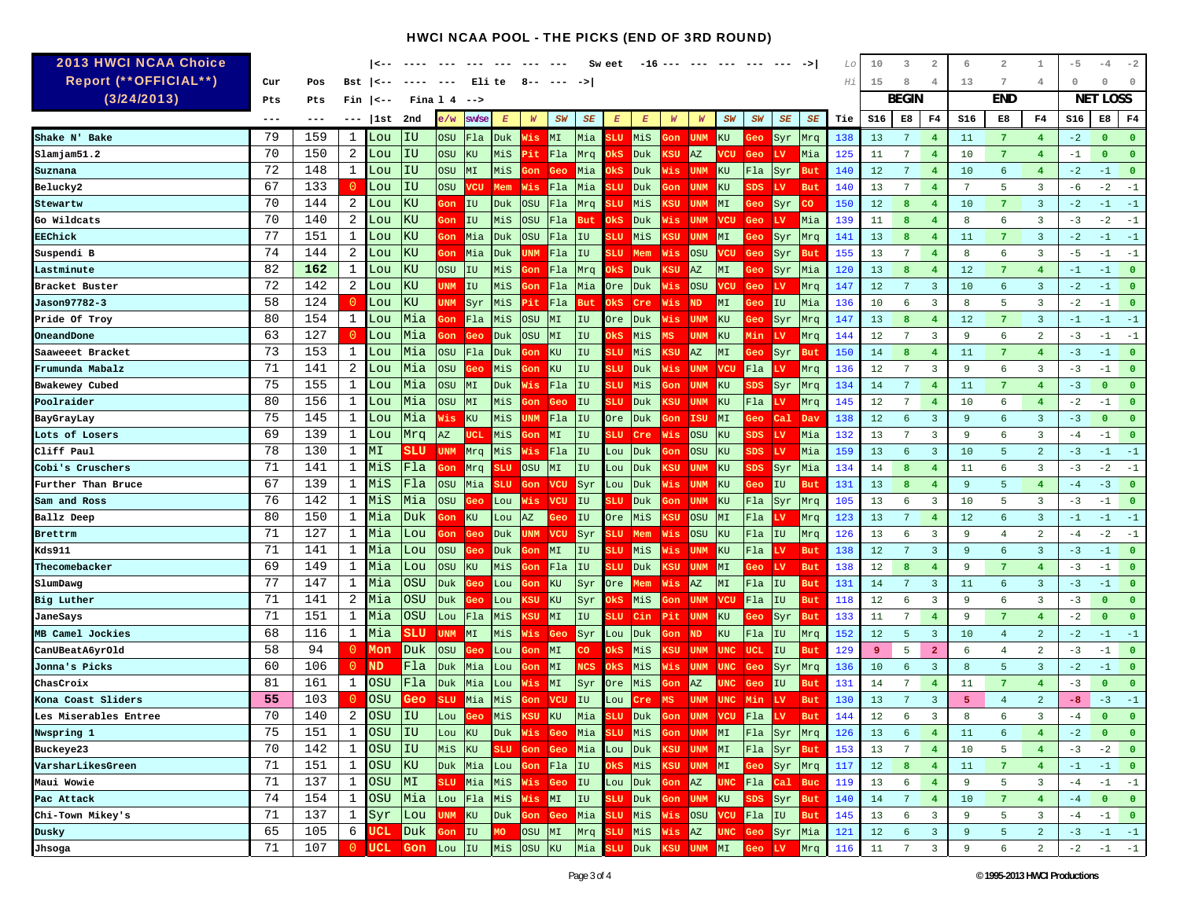| <b>2013 HWCI NCAA Choice</b> |       |       |                | <--        |            |            |         |                 |                 |                |            | Sw eet           |                         |            |                        |                       | $- - -$      |                 |            | Lo  | 10      | 3               | 2              | 6   | 2               | 1                       | $-5$ | -4           |                         |
|------------------------------|-------|-------|----------------|------------|------------|------------|---------|-----------------|-----------------|----------------|------------|------------------|-------------------------|------------|------------------------|-----------------------|--------------|-----------------|------------|-----|---------|-----------------|----------------|-----|-----------------|-------------------------|------|--------------|-------------------------|
| <b>Report (**OFFICIAL**)</b> | Cur   | Pos   | Bst            | --> ا      |            |            | Eli te  |                 | 8               |                |            |                  |                         |            |                        |                       |              |                 |            | Нi  | 15      | 8               | 4              | 13  | 7               | 4                       | 0    | $\Omega$     | $\theta$                |
| (3/24/2013)                  | Pts   | Pts   | Fin            | --> ا      | Fina 1     | -4         | $-$ ->  |                 |                 |                |            |                  |                         |            |                        |                       |              |                 |            |     |         | <b>BEGIN</b>    |                |     | <b>END</b>      |                         | NET  | LOSS         |                         |
|                              | $---$ | $---$ | $---$          | 1st        | 2nd        | e∕w        | sw/se   | $E_{\parallel}$ | W               | <b>SW</b>      | SE         | $\boldsymbol{E}$ | $\boldsymbol{E}$        | W          | W                      | SW                    | SW           | SE              | SE         | Tie | S16     | E8              | F <sub>4</sub> | S16 | E8              | F4                      | S16  | E8           | F4                      |
| Shake N' Bake                | 79    | 159   | 1              | Lou        | IU         | OSU        | F1a     | Duk             | Wis             | MI             | Mia        |                  | MiS                     | юn,        | <b>UNM</b>             | KU                    |              | Syr             | Mrq        | 138 | 13      | 7               | $\overline{4}$ | 11  | $\overline{7}$  | $\overline{4}$          | $-2$ | $\mathbf{0}$ | $\Omega$                |
| slamjam51.2                  | 70    | 150   | 2              | Lou        | ΙU         | OSU        | KU      | MiS             | Pit             | Fla            | Mrq        | )k S             | <b>Duk</b>              | :SU        | $\mathbb{A}\mathbb{Z}$ | 7CU                   | Geo          | LV              | Mia        | 125 | 11      | 7               | $\overline{4}$ | 10  | $\overline{7}$  | 4                       | $-1$ | $\Omega$     | $\mathbf{0}$            |
| Suznana                      | 72    | 148   | 1              | Lou        | IU         | OSU        | MI      | MiS             | Gon             | Geo            | Mia        | жs               | Duk                     | Wis,       | <b>UNM</b>             | KU                    | Fla          | <b>Syr</b>      | <b>But</b> | 140 | 12      | 7               | $\overline{4}$ | 10  | 6               | $\overline{4}$          | $-2$ | $-1$         | $\overline{0}$          |
| Belucky2                     | 67    | 133   | $\overline{0}$ | Lou        | IU         | OSU        | vcu     | Mem             | Wis             | Fla            | Mia        | m                | Duk                     | on         | <b>UNM</b>             | KU                    | 3DS          | <b>LV</b>       | <b>But</b> | 140 | 13      | 7               | 4              | 7   | 5               | 3                       | -6   | $-2$         | $-1$                    |
| Stewartw                     | 70    | 144   | 2              | Lou        | KU         | юn         | IU      | Duk             | <b>OSU</b>      | Fla            | Mrq        |                  | MiS                     | :SU        | <b>UNM</b>             | MT                    | <b>Geo</b>   | Syr             | CO         | 150 | 12      | 8               | $\overline{4}$ | 10  | $\overline{7}$  | $\overline{\mathbf{3}}$ | $-2$ | $-1$         | $-1$                    |
| Go Wildcats                  | 70    | 140   | 2              | Lou        | KU         | lon,       | IU      | MiS             | <b>OSU</b>      | Fla            | But        | <u>)ks</u>       | Duk                     | lis.       | <b>UNM</b>             | <b>VCU</b>            | Geo.         | LV              | Mia        | 139 | 11      | 8               | $\overline{4}$ | 8   | 6               | 3                       | $-3$ | $-2$         | $-1$                    |
| EEChick                      | 77    | 151   | 1              | ⊥ou        | KU         | on         | Mia     | Duk             | <b>OSU</b>      | Fla            | IU         |                  | MiS                     | ເຮບ        | UNM                    | MΙ                    |              | Syr             | Mrq        | 141 | 13      | 8               | 4              | 11  | 7               | 3                       | $-2$ | $-1$         | $-1$                    |
| Suspendi B                   | 74    | 144   | 2              | '∙ou       | KU         | on,        | Mia     | Duk             | UNM             | Fla            | IU         | 3LU              | Mem                     | Wis        | <b>OSU</b>             | 7CU                   | Geo          | Syr             | But        | 155 | 13      | 7               | $\overline{4}$ | 8   | 6               | $\overline{3}$          | $-5$ | $-1$         | $-1$                    |
| Lastminute                   | 82    | 162   | 1              | Lou        | KU         | OSU        | IU      | MiS             | Gon             | Fla            | Mrq        | жs               | Duk                     | .su        | AZ                     | МI                    | Gec          | Syr             | Mia        | 120 | 13      | 8               | 4              | 12  | $7\phantom{.0}$ | 4                       | $-1$ | $-1$         | $\overline{0}$          |
| Bracket Buster               | 72    | 142   | 2              | Lou        | KU         | UNM        | IU      | MiS             | Gon             | Fla            | Mia        | Ore              | Duk                     | Nis        | <b>OSU</b>             | 7CU                   | Geo          | LV              | Mrq        | 147 | $12 \,$ | 7               | $\overline{3}$ | 10  | 6               | $\overline{3}$          | $-2$ | $-1$         | $\overline{0}$          |
| Jason97782-3                 | 58    | 124   | 0              | Lou        | KU         | JNM        | Syr     | MiS             | Pit             | Fla            | But        | )kS              | Cre                     | Wis        | <b>ND</b>              | MΙ                    | зес          | IU              | Mia        | 136 | 10      | 6               | 3              | 8   | 5               | 3                       | $-2$ | $-1$         | $\overline{\mathbf{0}}$ |
| Pride Of Troy                | 80    | 154   | 1              | Lou        | Mia        | ¦on        | Fla     | MiS             | <b>OSU</b>      | МI             | IU         | Ore              | Duk                     | Vis        | <b>UNM</b>             | KU                    | зес          | Syr             | Mrq        | 147 | 13      | 8               | $\overline{4}$ | 12  | $\overline{7}$  | 3                       | $-1$ | $-1$         | $-1$                    |
| OneandDone                   | 63    | 127   | 0              | Lou        | Mia        | on         | Geo     | Duk             | <b>OSU</b>      | МI             | IU         | )k S             | MiS                     |            | UNM                    | KU                    | 4in          | LV              | Mrq        | 144 | 12      | 7               | 3              | 9   | 6               | 2                       | $-3$ | $-1$         | $-1$                    |
| Saaweeet Bracket             | 73    | 153   | 1              | Lou        | Mia        | USC        | Fla     | Duk             | οn              | KU             | IU         | ъU               | MiS                     | :SU        | AZ                     | MΙ                    |              | Syr             | But        | 150 | 14      | 8               | 4              | 11  | 7               | 4                       | $-3$ | $-1$         | $\overline{0}$          |
| Frumunda Mabalz              | 71    | 141   | 2              | Lou        | Mia        | OSU        | Geo     | MiS             | Gon             | ΚU             | IU         | SШ               | Duk                     | Vis        | <b>UNM</b>             | <b>VCU</b>            | Fla          |                 | Mrq        | 136 | 12      | 7               | 3              | 9   | 6               | 3                       | $-3$ | $-1$         | $\overline{0}$          |
| Bwakewey Cubed               | 75    | 155   | 1              | Lou        | Mia        | OSU        | MI      | Duk.            | Wis             | Fla            | IU         | 3LU              | MiS                     | Ιoη        | <b>UNM</b>             | KU                    | $_{\tt SDS}$ | Syr             | Mrq        | 134 | 14      | $7\phantom{.0}$ | $\overline{4}$ | 11  | $\overline{7}$  | $\overline{4}$          | $-3$ | $\mathbf{0}$ | $\overline{0}$          |
| Poolraider                   | 80    | 156   | 1              | Lou        | Mia        | OSU        | MI      | MiS             | <del>l</del> on | Geo            | IU         | 3LU              | Duk                     | ເຮບ        | <b>UNM</b>             | KU                    | Fla          | LV              | Mrq        | 145 | 12      | $7\phantom{.0}$ | $\overline{4}$ | 10  | 6               | $\overline{4}$          | $-2$ | $-1$         | $\overline{0}$          |
| BayGrayLay                   | 75    | 145   | 1              | Lou        | Mia        | lis        | KU      | MiS             | <b>UNM</b>      | Fla            | IU         | Ore              | Duk                     | Ιoη        | ISU                    | MI                    | 3eo          | $ca1$           | Dav        | 138 | 12      | 6               | 3              | 9   | 6               | $\overline{3}$          | $-3$ | $\mathbf{0}$ | $\overline{0}$          |
| Lots of Losers               | 69    | 139   | 1              | Lou        | Mrq        | ΑZ         |         | MiS             | }on             | МI             | IU         |                  | Cre                     | Wis        | OSU                    | ΚU                    | 3DS          | LV              | Mia        | 132 | 13      | 7               | 3              | 9   | 6               | 3                       | $-4$ | $-1$         | $\mathbf{0}$            |
| Cliff Paul                   | 78    | 130   | 1              | ЛI         | SLU        | <b>UNM</b> | Mrq     | MiS             | Wis             | Fla            | IU         | Lou              | Duk                     | юn         | <b>OSU</b>             | KU                    | 3DS          | LV              | Mia        | 159 | 13      | 6               | 3              | 10  | 5               | 2                       | $-3$ | $-1$         | $-1$                    |
| Cobi's Cruschers             | 71    | 141   | 1              | MiS        | Fla        | on         | Mrq     | <b>SLU</b>      | <b>OSU</b>      | ΜI             | IU         | Lou              | Duk                     | .su        | <b>UNM</b>             | KU                    | $_{\rm 3DS}$ | Syr             | Mia        | 134 | 14      | 8               | $\overline{4}$ | 11  | 6               | 3                       | $-3$ | $-2$         | $-1$                    |
| Further Than Bruce           | 67    | 139   | 1              | MiS        | Fla        | OSU        | Mia     | 3LU             | Gon             | vcu            | Syr        | Lou              | Duk                     | Vis        | <b>UNM</b>             | KU                    | Jес          | IU              | But        | 131 | 13      | 8               | $\overline{4}$ | 9   | 5               | 4                       | $-4$ | $-3$         | $\overline{0}$          |
| Sam and Ross                 | 76    | 142   | 1              | MiS        | Mia        | USC        | зес     | Lou             | Wis             | <b>VCU</b>     | IU         | 3LU              | Duk                     | юn,        | <b>UNM</b>             | KU                    | Fla          | Syr             | Mrq        | 105 | 13      | 6               | 3              | 10  | 5               | 3                       | $-3$ | $-1$         | $\mathbf{0}$            |
| Ballz Deep                   | 80    | 150   | 1              | Mia        | Duk        | on         | KU      | Lou             | AZ              | 3eo            | IU         | Ore.             | MiS                     | <u>ksu</u> | <b>OSU</b>             | MT                    | Fla          | Lν              | Mrq        | 123 | 13      | $7\phantom{.0}$ | $\overline{4}$ | 12  | 6               | $\overline{3}$          | $-1$ | $-1$         | $-1$                    |
| Brettrm                      | 71    | 127   | 1              | Mia        | Lou        | юn         | Geo     | Duk             | UNM             | <b>VCU</b>     | Syr        | шU               | Mem                     | Wis        | OSU                    | KU                    | Fla          | IU              | Mrq        | 126 | 13      | 6               | 3              | 9   | 4               | 2                       | $-4$ | $-2$         | $-1$                    |
| Kds911                       | 71    | 141   | 1              | Mia        | Lou        | ວຣບ        |         | Duk             | <del>l</del> on | MI             | IU         | 3LU              | MiS                     | Wis        | UNM                    | KU                    | Fla          |                 | <b>But</b> | 138 | 12      | 7               | $\overline{3}$ | 9   | 6               | $\overline{3}$          | $-3$ | $-1$         | $\circ$                 |
| Thecomebacker                | 69    | 149   | 1              | iia        | Lou        | USC        | KU      | MiS             | οn              | Fla            | IU         | πu               | Duk                     | ເຮບ        | <b>UNM</b>             | MI                    | eo:          | LV              | <b>But</b> | 138 | 12      | 8               | 4              | 9   | -7              | 4                       | $-3$ | $-1$         | $\mathbf{0}$            |
| SlumDawg                     | 77    | 147   | 1              | Mia        | OSU        | Duk        |         | Lou             | οn              | KU             | Syr        | Ore              | Mem                     | Wis        | AZ                     | M <sub>I</sub>        | Fla          | IU              | But        | 131 | 14      | 7               | 3              | 11  | 6               | $\overline{3}$          | $-3$ | $-1$         | $\overline{0}$          |
| Big Luther                   | 71    | 141   | 2              | Mia        | OSU        | Duk        | Зeс     | Lou             | KSU             | KU             | Syr        | kS               | MiS                     | Gon        | <b>UNM</b>             | <b>VCU</b>            | Fla          | IU              | But        | 118 | 12      | 6               | 3              | 9   | 6               | 3                       | $-3$ | 0            | $\mathbf{0}$            |
| JaneSays                     | 71    | 151   | 1              | Mia        | <b>OSU</b> | Lou        | F1a     | MiS             | KSU             | MI             | IU         | ъU               | $_{\rm Cin}$            | Pit        | <b>UNM</b>             | KU                    |              | Syr             | But        | 133 | 11      | 7               | $\overline{4}$ | 9   | 7               | 4                       | -2   | $\Omega$     | $\mathbf{0}$            |
| MB Camel Jockies             | 68    | 116   | 1              | Mia        | SLU        | <b>UNM</b> | MI      | MiS             | Wis             | Geo            | Syr        | Lou              | Duk                     | on         | ND                     | KU                    | Fla          | IU              | Mrq        | 152 | 12      | 5               | 3              | 10  | $\overline{4}$  | $\overline{2}$          | $-2$ | $-1$         | $-1$                    |
| CanUBeatA6yrOld              | 58    | 94    | $\circ$        | Mon        | Duk        | OSU        |         | Lou             | ¦on             | МI             | co         | Эks              | MiS                     | <u>csu</u> | <b>UNM</b>             | <b>UNC</b>            | <b>UCL</b>   | IU              | But        | 129 | -9      | 5               | $\overline{2}$ | 6   | 4               | 2                       | $-3$ | $-1$         | $\mathbf{0}$            |
| Jonna's Picks                | 60    | 106   | $\mathbf{0}$   | ND.        | Fla        | Duk        | Mia     | ou              | on              | МI             | <b>NCS</b> | )kS              | MiS                     | lis.       | <b>UNM</b>             | UNC                   | Geo          | Syr             | Mrq        | 136 | 10      | 6               | 3              | 8   | 5               | 3                       | $-2$ | $-1$         | $\overline{0}$          |
| ChasCroix                    | 81    | 161   | 1              | OSU        | Fla        | Duk        | Mia     | ou              | Wis             | МI             | Syr        | )re              | MiS                     |            | AZ                     |                       |              | IU              | But        | 131 | 14      | 7               | $\overline{4}$ | 11  | 7               | 4                       | $-3$ | $\mathbf{0}$ | $\overline{0}$          |
| Kona Coast Sliders           | 55    | 103   | 0              | OSU        | Geo        | SLU        | Mia     | MiS             | Gon             | vcu            | IU         | Lou              | Cre                     |            | UNM                    | UNC                   | Min          | LV              | <b>But</b> | 130 | 13      | 7               | 3              | 5   | 4               | $\overline{2}$          | -8   | $-3$         | $-1$                    |
| Les Miserables Entree        | 70    | 140   | 2              | OSU        | IU         | Lou        | ¥eo     | MiS             | KSU             | KU             | Mia        | <b>SLU</b>       | Duk                     | 3on        | <b>UNM</b>             | <b>VCU</b>            | Fla          | <b>LV</b>       | <b>But</b> | 144 | 12      | -6              | 3              | 8   | 6               | 3                       | $-4$ | n            | $\Omega$                |
| Nwspring 1                   | 75    | 151   | 1              | OSU        | IU         | Lou KU     |         | Duk Wis         |                 |                | Geo Mia    | 3LU.             | Mis                     | Gon        | <b>UNM</b>             | MI                    | Fla          | Syr             | Mrq        | 126 | 13      | 6               | $\overline{4}$ | 11  | 6               | 4                       | $-2$ | $\mathbf{0}$ | $\mathbf{0}$            |
| Buckeye23                    | 70    | 142   | $\mathbf{1}$   | <b>OSU</b> | IU         | MiS        | KU      |                 | SLU Gon Geo     |                | Mia Lou    |                  | Duk KSU UNM             |            |                        | MI                    | Fla          | Syr But         |            | 153 | 13      | $7\overline{ }$ | $\overline{4}$ | 10  | 5               | $\overline{4}$          | $-3$ | $-2$         | $\overline{\mathbf{0}}$ |
| VarsharLikesGreen            | 71    | 151   | $\mathbf{1}$   | OSU        | KU         |            | Duk Mia | Lou <b>Gon</b>  |                 | FLa            | IU         | )ks              | MiS KSU UNM             |            |                        | MI Geo                |              | Syr Mrq         |            | 117 | 12      | 8 <sup>2</sup>  | $\overline{4}$ | 11  | $\overline{7}$  | $\overline{4}$          | $-1$ | $-1$         | $\overline{\mathbf{0}}$ |
| Maui Wowie                   | 71    | 137   | $\mathbf{1}$   | OSU        | MI         |            | SLU Mia | Mis Wis         |                 | Geo            | IU         | Lou              | Duk <mark>Gon</mark> AZ |            |                        |                       |              | UNC Fla Cal Buc |            | 119 | 13      | 6               | $\overline{4}$ | 9   | 5               | 3                       | $-4$ | $-1$         | $-1$                    |
| Pac Attack                   | 74    | 154   | $\mathbf{1}$   | <b>OSU</b> | Mia        |            | Lou Fla | MiS Wis         |                 | MI             | IU         | <b>SLU</b>       | Duk.                    |            | <b>Gon</b> UNM         | KU                    | SDS          | Syr But         |            | 140 | 14      | $7\phantom{.0}$ | $\frac{4}{3}$  | 10  | $\overline{7}$  | $\overline{4}$          | $-4$ | $\mathbf{0}$ | $\mathbf{0}$            |
| Chi-Town Mikey's             | 71    | 137   | $\mathbf{1}$   | Syr        | Lou        | <b>JNM</b> | KU      | Duk Gon         |                 | Geo            | Mia        | <b>SLU</b>       | MiS Wis OSU             |            |                        |                       | VCU Fla      | I               | <b>But</b> | 145 | 13      | 6               | 3              | -9  | 5               | $\overline{3}$          | $-4$ | $-1$         | $\circ$                 |
| Dusky                        | 65    | 105   | 6              | <b>UCL</b> | Duk        | 3on        | IU      | MO              | OSU             | M <sub>I</sub> | Mrq        | <b>SLU</b>       | MiS Wis                 |            | AZ                     |                       | UNC Geo      | <b>Syr</b>      | Mia        | 121 | 12      | 6               | $\overline{3}$ | 9   | 5               | $\overline{a}$          | $-3$ | $-1$         | $-1$                    |
| Jhsoga                       | 71    | 107   | $\overline{0}$ | UCL        | Gon        | Lou IU     |         | MiS             | OSU KU          |                | Mia        | <b>SLU</b>       |                         |            |                        | Duk KSU UNM MI Geo LV |              |                 | Mrq        | 116 | 11      | $7\overline{ }$ | $\overline{3}$ | 9   | 6               | $\overline{a}$          | $-2$ | $-1$ $-1$    |                         |